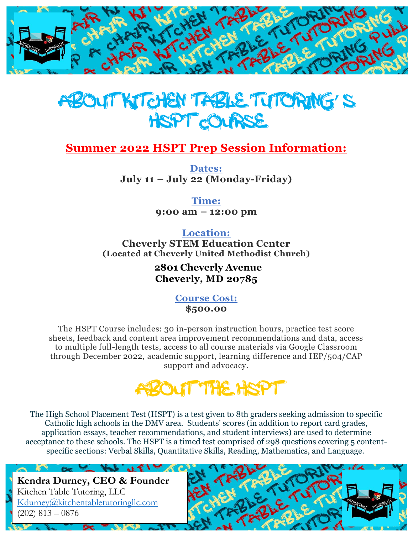



# **Summer 2022 HSPT Prep Session Information:**

**Dates: July 11 – July 22 (Monday-Friday)**

> **Time: 9:00 am – 12:00 pm**

**Location: Cheverly STEM Education Center (Located at Cheverly United Methodist Church)**

> **2801 Cheverly Avenue Cheverly, MD 20785**

> > **Course Cost: \$500.00**

The HSPT Course includes: 30 in-person instruction hours, practice test score sheets, feedback and content area improvement recommendations and data, access to multiple full-length tests, access to all course materials via Google Classroom through December 2022, academic support, learning difference and IEP/504/CAP support and advocacy.



The High School Placement Test (HSPT) is a test given to 8th graders seeking admission to specific Catholic high schools in the DMV area. Students' scores (in addition to report card grades, application essays, teacher recommendations, and student interviews) are used to determine acceptance to these schools. The HSPT is a timed test comprised of 298 questions covering 5 contentspecific sections: Verbal Skills, Quantitative Skills, Reading, Mathematics, and Language.

**Kendra Durney, CEO & Founder** Kitchen Table Tutoring, LLC [Kdurney@kitchentabletutoringllc.com](mailto:Kdurney@kitchentabletutoringllc.com)  $(202)$  813 – 0876

 $\mathcal{L}$  and  $\mathcal{L}$ 

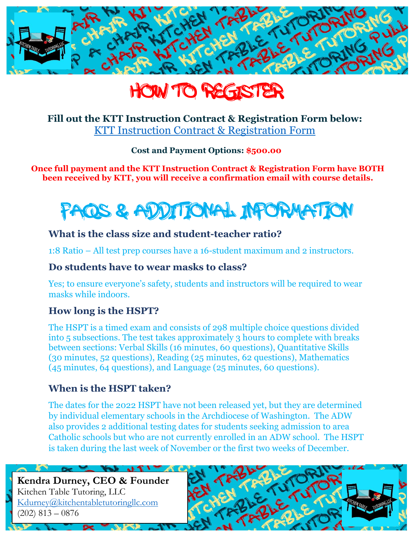



### **Fill out the KTT Instruction Contract & Registration Form below:** [KTT Instruction Contract & Registration Form](https://forms.gle/WZCySmx5XL9dfSUD8)

**Cost and Payment Options: \$500.00**

#### **Once full payment and the KTT Instruction Contract & Registration Form have BOTH been received by KTT, you will receive a confirmation email with course details.**



## **What is the class size and student-teacher ratio?**

1:8 Ratio – All test prep courses have a 16-student maximum and 2 instructors.

### **Do students have to wear masks to class?**

Yes; to ensure everyone's safety, students and instructors will be required to wear masks while indoors.

## **How long is the HSPT?**

The HSPT is a timed exam and consists of 298 multiple choice questions divided into 5 subsections. The test takes approximately 3 hours to complete with breaks between sections: Verbal Skills (16 minutes, 60 questions), Quantitative Skills (30 minutes, 52 questions), Reading (25 minutes, 62 questions), Mathematics (45 minutes, 64 questions), and Language (25 minutes, 60 questions).

## **When is the HSPT taken?**

The dates for the 2022 HSPT have not been released yet, but they are determined by individual elementary schools in the Archdiocese of Washington. The ADW also provides 2 additional testing dates for students seeking admission to area Catholic schools but who are not currently enrolled in an ADW school. The HSPT is taken during the last week of November or the first two weeks of December.

**Kendra Durney, CEO & Founder** Kitchen Table Tutoring, LLC [Kdurney@kitchentabletutoringllc.com](mailto:Kdurney@kitchentabletutoringllc.com)  $(202)$  813 – 0876